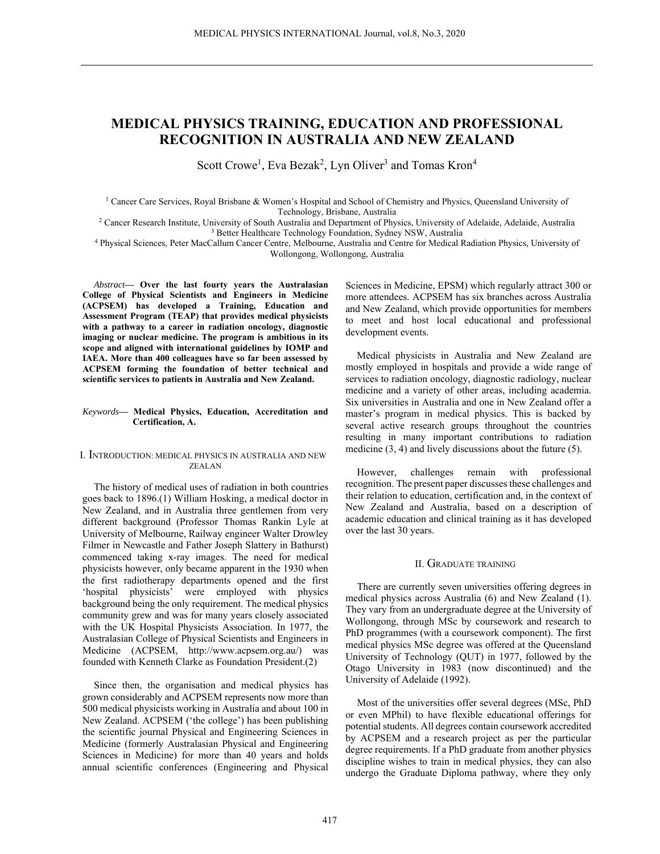# **MEDICAL PHYSICS TRAINING, EDUCATION AND PROFESSIONAL RECOGNITION IN AUSTRALIA AND NEW ZEALAND**

Scott Crowe<sup>1</sup>, Eva Bezak<sup>2</sup>, Lyn Oliver<sup>3</sup> and Tomas Kron<sup>4</sup>

<sup>1</sup> Cancer Care Services, Royal Brisbane & Women's Hospital and School of Chemistry and Physics, Queensland University of Technology, Brisbane, Australia Technology, Brisbane, Australia<br><sup>2</sup> Cancer Research Institute, University of South Australia and Denartment of Phy

 Cancer Research Institute, University of South Australia and Department of Physics, University of Adelaide, Adelaide, Australia 3 <sup>3</sup> Better Healthcare Technology Foundation, Sydney NSW, Australia

4 Physical Sciences, Peter MacCallum Cancer Centre, Melbourne, Australia and Centre for Medical Radiation Physics, University of Wollongong, Wollongong, Australia

*Abstract***— Over the last fourty years the Australasian College of Physical Scientists and Engineers in Medicine (ACPSEM) has developed a Training, Education and Assessment Program (TEAP) that provides medical physicists with a pathway to a career in radiation oncology, diagnostic imaging or nuclear medicine. The program is ambitious in its scope and aligned with international guidelines by IOMP and IAEA. More than 400 colleagues have so far been assessed by ACPSEM forming the foundation of better technical and scientific services to patients in Australia and New Zealand.** 

#### *Keywords***— Medical Physics, Education, Accreditation and Certification, A.**

## I. INTRODUCTION: MEDICAL PHYSICS IN AUSTRALIA AND NEW ZEALAN

The history of medical uses of radiation in both countries goes back to 1896.(1) William Hosking, a medical doctor in New Zealand, and in Australia three gentlemen from very different background (Professor Thomas Rankin Lyle at University of Melbourne, Railway engineer Walter Drowley Filmer in Newcastle and Father Joseph Slattery in Bathurst) commenced taking x-ray images. The need for medical physicists however, only became apparent in the 1930 when the first radiotherapy departments opened and the first 'hospital physicists' were employed with physics background being the only requirement. The medical physics community grew and was for many years closely associated with the UK Hospital Physicists Association. In 1977, the Australasian College of Physical Scientists and Engineers in Medicine (ACPSEM, http://www.acpsem.org.au/) was founded with Kenneth Clarke as Foundation President.(2)

Since then, the organisation and medical physics has grown considerably and ACPSEM represents now more than 500 medical physicists working in Australia and about 100 in New Zealand. ACPSEM ('the college') has been publishing the scientific journal Physical and Engineering Sciences in Medicine (formerly Australasian Physical and Engineering Sciences in Medicine) for more than 40 years and holds annual scientific conferences (Engineering and Physical Sciences in Medicine, EPSM) which regularly attract 300 or more attendees. ACPSEM has six branches across Australia and New Zealand, which provide opportunities for members to meet and host local educational and professional development events.

Medical physicists in Australia and New Zealand are mostly employed in hospitals and provide a wide range of services to radiation oncology, diagnostic radiology, nuclear medicine and a variety of other areas, including academia. Six universities in Australia and one in New Zealand offer a master's program in medical physics. This is backed by several active research groups throughout the countries resulting in many important contributions to radiation medicine (3, 4) and lively discussions about the future (5).

However, challenges remain with professional recognition. The present paper discusses these challenges and their relation to education, certification and, in the context of New Zealand and Australia, based on a description of academic education and clinical training as it has developed over the last 30 years.

## II. GRADUATE TRAINING

There are currently seven universities offering degrees in medical physics across Australia (6) and New Zealand (1). They vary from an undergraduate degree at the University of Wollongong, through MSc by coursework and research to PhD programmes (with a coursework component). The first medical physics MSc degree was offered at the Queensland University of Technology (QUT) in 1977, followed by the Otago University in 1983 (now discontinued) and the University of Adelaide (1992).

Most of the universities offer several degrees (MSc, PhD or even MPhil) to have flexible educational offerings for potential students. All degrees contain coursework accredited by ACPSEM and a research project as per the particular degree requirements. If a PhD graduate from another physics discipline wishes to train in medical physics, they can also undergo the Graduate Diploma pathway, where they only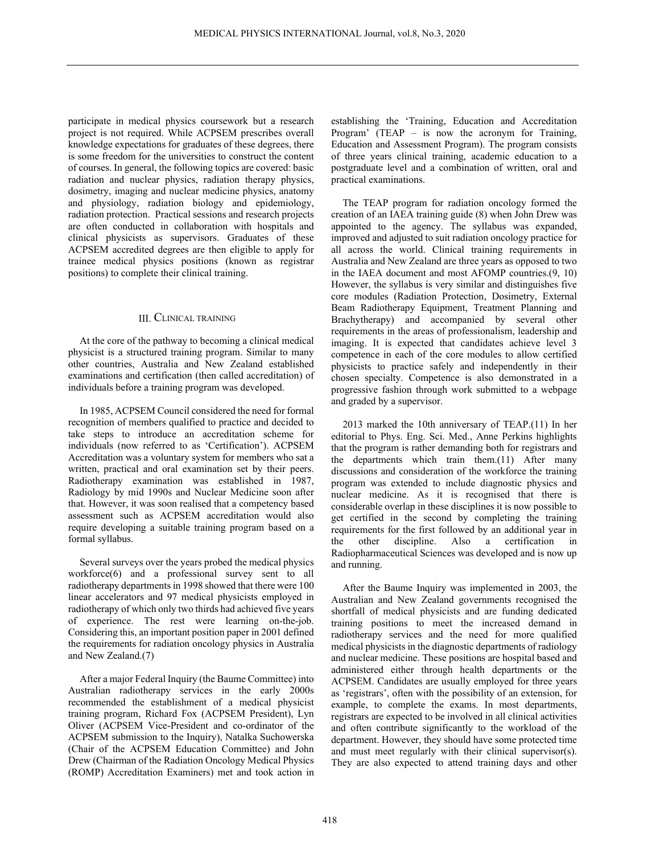participate in medical physics coursework but a research project is not required. While ACPSEM prescribes overall knowledge expectations for graduates of these degrees, there is some freedom for the universities to construct the content of courses. In general, the following topics are covered: basic radiation and nuclear physics, radiation therapy physics, dosimetry, imaging and nuclear medicine physics, anatomy and physiology, radiation biology and epidemiology, radiation protection. Practical sessions and research projects are often conducted in collaboration with hospitals and clinical physicists as supervisors. Graduates of these ACPSEM accredited degrees are then eligible to apply for trainee medical physics positions (known as registrar positions) to complete their clinical training.

# III. CLINICAL TRAINING

At the core of the pathway to becoming a clinical medical physicist is a structured training program. Similar to many other countries, Australia and New Zealand established examinations and certification (then called accreditation) of individuals before a training program was developed.

In 1985, ACPSEM Council considered the need for formal recognition of members qualified to practice and decided to take steps to introduce an accreditation scheme for individuals (now referred to as 'Certification'). ACPSEM Accreditation was a voluntary system for members who sat a written, practical and oral examination set by their peers. Radiotherapy examination was established in 1987, Radiology by mid 1990s and Nuclear Medicine soon after that. However, it was soon realised that a competency based assessment such as ACPSEM accreditation would also require developing a suitable training program based on a formal syllabus.

Several surveys over the years probed the medical physics workforce(6) and a professional survey sent to all radiotherapy departments in 1998 showed that there were 100 linear accelerators and 97 medical physicists employed in radiotherapy of which only two thirds had achieved five years of experience. The rest were learning on-the-job. Considering this, an important position paper in 2001 defined the requirements for radiation oncology physics in Australia and New Zealand.(7)

After a major Federal Inquiry (the Baume Committee) into Australian radiotherapy services in the early 2000s recommended the establishment of a medical physicist training program, Richard Fox (ACPSEM President), Lyn Oliver (ACPSEM Vice-President and co-ordinator of the ACPSEM submission to the Inquiry), Natalka Suchowerska (Chair of the ACPSEM Education Committee) and John Drew (Chairman of the Radiation Oncology Medical Physics (ROMP) Accreditation Examiners) met and took action in

establishing the 'Training, Education and Accreditation Program' (TEAP – is now the acronym for Training, Education and Assessment Program). The program consists of three years clinical training, academic education to a postgraduate level and a combination of written, oral and practical examinations.

The TEAP program for radiation oncology formed the creation of an IAEA training guide (8) when John Drew was appointed to the agency. The syllabus was expanded, improved and adjusted to suit radiation oncology practice for all across the world. Clinical training requirements in Australia and New Zealand are three years as opposed to two in the IAEA document and most AFOMP countries.(9, 10) However, the syllabus is very similar and distinguishes five core modules (Radiation Protection, Dosimetry, External Beam Radiotherapy Equipment, Treatment Planning and Brachytherapy) and accompanied by several other requirements in the areas of professionalism, leadership and imaging. It is expected that candidates achieve level 3 competence in each of the core modules to allow certified physicists to practice safely and independently in their chosen specialty. Competence is also demonstrated in a progressive fashion through work submitted to a webpage and graded by a supervisor.

2013 marked the 10th anniversary of TEAP.(11) In her editorial to Phys. Eng. Sci. Med., Anne Perkins highlights that the program is rather demanding both for registrars and the departments which train them.(11) After many discussions and consideration of the workforce the training program was extended to include diagnostic physics and nuclear medicine. As it is recognised that there is considerable overlap in these disciplines it is now possible to get certified in the second by completing the training requirements for the first followed by an additional year in the other discipline. Also a certification in Radiopharmaceutical Sciences was developed and is now up and running.

After the Baume Inquiry was implemented in 2003, the Australian and New Zealand governments recognised the shortfall of medical physicists and are funding dedicated training positions to meet the increased demand in radiotherapy services and the need for more qualified medical physicists in the diagnostic departments of radiology and nuclear medicine. These positions are hospital based and administered either through health departments or the ACPSEM. Candidates are usually employed for three years as 'registrars', often with the possibility of an extension, for example, to complete the exams. In most departments, registrars are expected to be involved in all clinical activities and often contribute significantly to the workload of the department. However, they should have some protected time and must meet regularly with their clinical supervisor(s). They are also expected to attend training days and other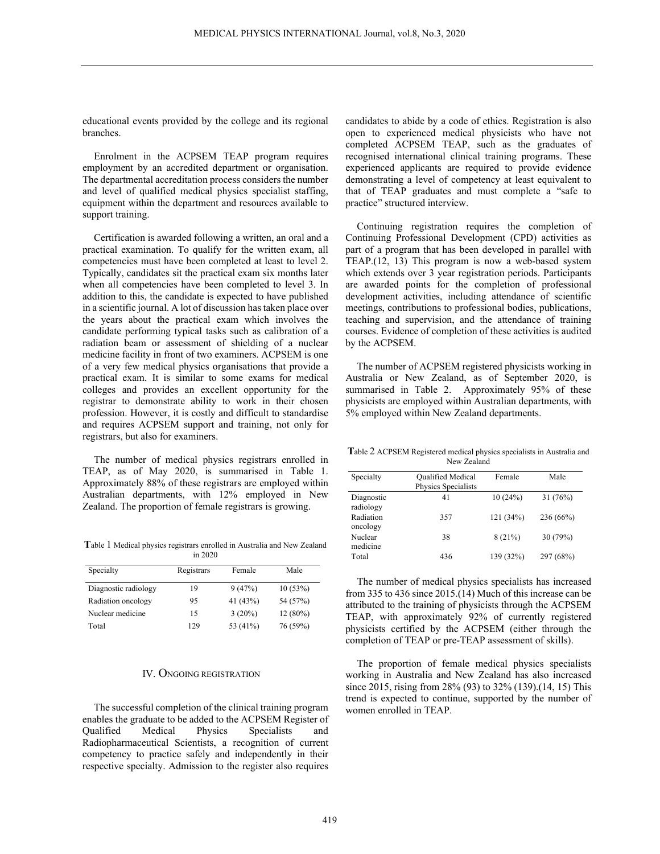educational events provided by the college and its regional branches.

Enrolment in the ACPSEM TEAP program requires employment by an accredited department or organisation. The departmental accreditation process considers the number and level of qualified medical physics specialist staffing, equipment within the department and resources available to support training.

Certification is awarded following a written, an oral and a practical examination. To qualify for the written exam, all competencies must have been completed at least to level 2. Typically, candidates sit the practical exam six months later when all competencies have been completed to level 3. In addition to this, the candidate is expected to have published in a scientific journal. A lot of discussion has taken place over the years about the practical exam which involves the candidate performing typical tasks such as calibration of a radiation beam or assessment of shielding of a nuclear medicine facility in front of two examiners. ACPSEM is one of a very few medical physics organisations that provide a practical exam. It is similar to some exams for medical colleges and provides an excellent opportunity for the registrar to demonstrate ability to work in their chosen profession. However, it is costly and difficult to standardise and requires ACPSEM support and training, not only for registrars, but also for examiners.

The number of medical physics registrars enrolled in TEAP, as of May 2020, is summarised in Table 1. Approximately 88% of these registrars are employed within Australian departments, with 12% employed in New Zealand. The proportion of female registrars is growing.

**T**able 1 Medical physics registrars enrolled in Australia and New Zealand in 2020

| Specialty            | Registrars | Female    | Male     |
|----------------------|------------|-----------|----------|
| Diagnostic radiology | 19         | 9(47%)    | 10(53%)  |
| Radiation oncology   | 95         | 41 (43%)  | 54 (57%) |
| Nuclear medicine     | 15         | $3(20\%)$ | 12(80%)  |
| Total                | 129        | 53 (41%)  | 76 (59%) |

## IV. ONGOING REGISTRATION

The successful completion of the clinical training program enables the graduate to be added to the ACPSEM Register of Qualified Medical Physics Specialists and Radiopharmaceutical Scientists, a recognition of current competency to practice safely and independently in their respective specialty. Admission to the register also requires candidates to abide by a code of ethics. Registration is also open to experienced medical physicists who have not completed ACPSEM TEAP, such as the graduates of recognised international clinical training programs. These experienced applicants are required to provide evidence demonstrating a level of competency at least equivalent to that of TEAP graduates and must complete a "safe to practice" structured interview.

Continuing registration requires the completion of Continuing Professional Development (CPD) activities as part of a program that has been developed in parallel with TEAP.(12, 13) This program is now a web-based system which extends over 3 year registration periods. Participants are awarded points for the completion of professional development activities, including attendance of scientific meetings, contributions to professional bodies, publications, teaching and supervision, and the attendance of training courses. Evidence of completion of these activities is audited by the ACPSEM.

The number of ACPSEM registered physicists working in Australia or New Zealand, as of September 2020, is summarised in Table 2. Approximately 95% of these physicists are employed within Australian departments, with 5% employed within New Zealand departments.

**T**able 2 ACPSEM Registered medical physics specialists in Australia and New Zealand

| Specialty               | <b>Qualified Medical</b><br>Physics Specialists | Female    | Male      |
|-------------------------|-------------------------------------------------|-----------|-----------|
| Diagnostic<br>radiology | 41                                              | 10(24%)   | 31(76%)   |
| Radiation<br>oncology   | 357                                             | 121 (34%) | 236 (66%) |
| Nuclear<br>medicine     | 38                                              | 8(21%)    | 30 (79%)  |
| Total                   | 436                                             | 139 (32%) | 297 (68%) |

The number of medical physics specialists has increased from 335 to 436 since 2015.(14) Much of this increase can be attributed to the training of physicists through the ACPSEM TEAP, with approximately 92% of currently registered physicists certified by the ACPSEM (either through the completion of TEAP or pre-TEAP assessment of skills).

The proportion of female medical physics specialists working in Australia and New Zealand has also increased since 2015, rising from 28% (93) to 32% (139).(14, 15) This trend is expected to continue, supported by the number of women enrolled in TEAP.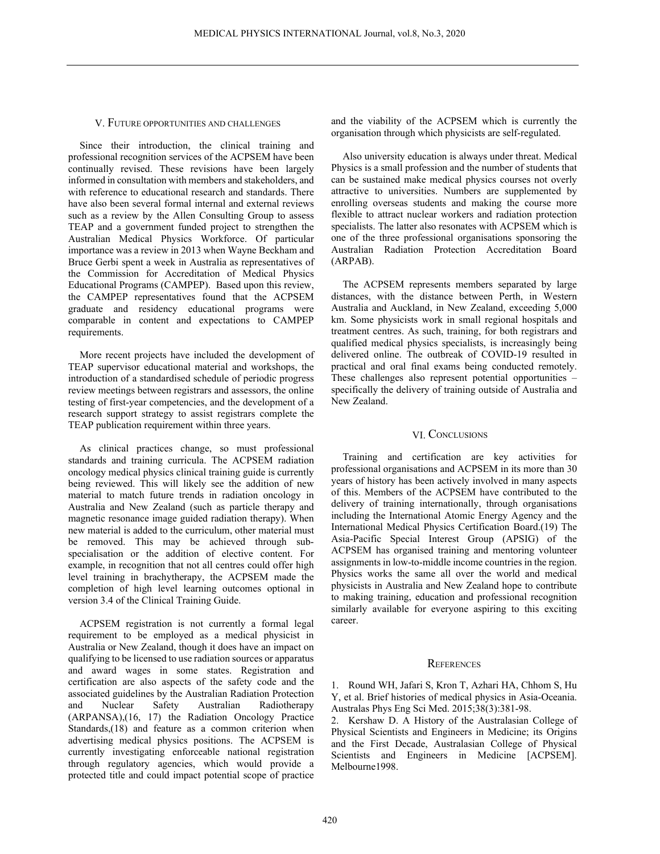## V. FUTURE OPPORTUNITIES AND CHALLENGES

Since their introduction, the clinical training and professional recognition services of the ACPSEM have been continually revised. These revisions have been largely informed in consultation with members and stakeholders, and with reference to educational research and standards. There have also been several formal internal and external reviews such as a review by the Allen Consulting Group to assess TEAP and a government funded project to strengthen the Australian Medical Physics Workforce. Of particular importance was a review in 2013 when Wayne Beckham and Bruce Gerbi spent a week in Australia as representatives of the Commission for Accreditation of Medical Physics Educational Programs (CAMPEP). Based upon this review, the CAMPEP representatives found that the ACPSEM graduate and residency educational programs were comparable in content and expectations to CAMPEP requirements.

More recent projects have included the development of TEAP supervisor educational material and workshops, the introduction of a standardised schedule of periodic progress review meetings between registrars and assessors, the online testing of first-year competencies, and the development of a research support strategy to assist registrars complete the TEAP publication requirement within three years.

As clinical practices change, so must professional standards and training curricula. The ACPSEM radiation oncology medical physics clinical training guide is currently being reviewed. This will likely see the addition of new material to match future trends in radiation oncology in Australia and New Zealand (such as particle therapy and magnetic resonance image guided radiation therapy). When new material is added to the curriculum, other material must be removed. This may be achieved through subspecialisation or the addition of elective content. For example, in recognition that not all centres could offer high level training in brachytherapy, the ACPSEM made the completion of high level learning outcomes optional in version 3.4 of the Clinical Training Guide.

ACPSEM registration is not currently a formal legal requirement to be employed as a medical physicist in Australia or New Zealand, though it does have an impact on qualifying to be licensed to use radiation sources or apparatus and award wages in some states. Registration and certification are also aspects of the safety code and the associated guidelines by the Australian Radiation Protection and Nuclear Safety Australian Radiotherapy (ARPANSA),(16, 17) the Radiation Oncology Practice Standards,(18) and feature as a common criterion when advertising medical physics positions. The ACPSEM is currently investigating enforceable national registration through regulatory agencies, which would provide a protected title and could impact potential scope of practice

and the viability of the ACPSEM which is currently the organisation through which physicists are self-regulated.

Also university education is always under threat. Medical Physics is a small profession and the number of students that can be sustained make medical physics courses not overly attractive to universities. Numbers are supplemented by enrolling overseas students and making the course more flexible to attract nuclear workers and radiation protection specialists. The latter also resonates with ACPSEM which is one of the three professional organisations sponsoring the Australian Radiation Protection Accreditation Board (ARPAB).

The ACPSEM represents members separated by large distances, with the distance between Perth, in Western Australia and Auckland, in New Zealand, exceeding 5,000 km. Some physicists work in small regional hospitals and treatment centres. As such, training, for both registrars and qualified medical physics specialists, is increasingly being delivered online. The outbreak of COVID-19 resulted in practical and oral final exams being conducted remotely. These challenges also represent potential opportunities – specifically the delivery of training outside of Australia and New Zealand.

## VI. CONCLUSIONS

Training and certification are key activities for professional organisations and ACPSEM in its more than 30 years of history has been actively involved in many aspects of this. Members of the ACPSEM have contributed to the delivery of training internationally, through organisations including the International Atomic Energy Agency and the International Medical Physics Certification Board.(19) The Asia-Pacific Special Interest Group (APSIG) of the ACPSEM has organised training and mentoring volunteer assignments in low-to-middle income countries in the region. Physics works the same all over the world and medical physicists in Australia and New Zealand hope to contribute to making training, education and professional recognition similarly available for everyone aspiring to this exciting career.

#### **REFERENCES**

1. Round WH, Jafari S, Kron T, Azhari HA, Chhom S, Hu Y, et al. Brief histories of medical physics in Asia-Oceania. Australas Phys Eng Sci Med. 2015;38(3):381-98.

Kershaw D. A History of the Australasian College of Physical Scientists and Engineers in Medicine; its Origins and the First Decade, Australasian College of Physical Scientists and Engineers in Medicine [ACPSEM]. Melbourne1998.